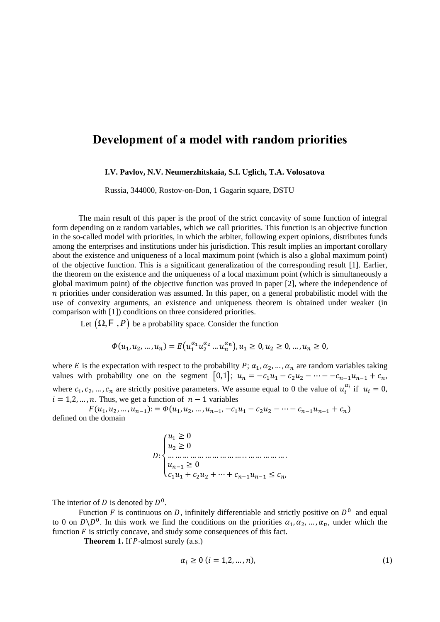## **Development of a model with random priorities**

## **I.V. Pavlov, N.V. Neumerzhitskaia, S.I. Uglich, T.A. Volosatova**

Russia, 344000, Rostov-on-Don, 1 Gagarin square, DSTU

The main result of this paper is the proof of the strict concavity of some function of integral form depending on  $n$  random variables, which we call priorities. This function is an objective function in the so-called model with priorities, in which the arbiter, following expert opinions, distributes funds among the enterprises and institutions under his jurisdiction. This result implies an important corollary about the existence and uniqueness of a local maximum point (which is also a global maximum point) of the objective function. This is a significant generalization of the corresponding result [1]. Earlier, the theorem on the existence and the uniqueness of a local maximum point (which is simultaneously a global maximum point) of the objective function was proved in paper [2], where the independence of  $n$  priorities under consideration was assumed. In this paper, on a general probabilistic model with the use of convexity arguments, an existence and uniqueness theorem is obtained under weaker (in comparison with [1]) conditions on three considered priorities.

Let  $(\Omega, \mathsf{F}, P)$  be a probability space. Consider the function

$$
\Phi(u_1, u_2, ..., u_n) = E(u_1^{\alpha_1} u_2^{\alpha_2} ... u_n^{\alpha_n}), u_1 \ge 0, u_2 \ge 0, ..., u_n \ge 0,
$$

where E is the expectation with respect to the probability P;  $\alpha_1, \alpha_2, \dots, \alpha_n$  are random variables taking values with probability one on the segment  $[0,1]$ ;  $u_n = -c_1u_1 - c_2u_2 - \cdots - c_{n-1}u_{n-1} + c_n$ , where  $c_1, c_2, ..., c_n$  are strictly positive parameters. We assume equal to 0 the value of  $u_i^{\alpha_i}$  if  $u_i = 0$ ,  $i = 1,2, ..., n$ . Thus, we get a function of  $n - 1$  variables

 $F(u_1, u_2, ..., u_{n-1}) = \Phi(u_1, u_2, ..., u_{n-1}, -c_1u_1 - c_2u_2 - \cdots - c_{n-1}u_{n-1} + c_n)$ defined on the domain

> $D:$  $\overline{\mathcal{L}}$  $\mathbf{I}$  $\mathbf{I}$  $\overline{1}$  $\begin{cases} u_1 \geq 0 \\ u \geq 0 \end{cases}$  $u_2 \geq 0$ … … … … … … … … … … . . … … … … … .  $u_{n-1} \geq 0$  $c_1u_1 + c_2u_2 + \cdots + c_{n-1}u_{n-1} \leq c_n,$

The interior of D is denoted by  $D^0$ .

to 0 on  $D \backslash D^0$ . In this work we find the conditions on the priorities  $\alpha_1, \alpha_2, ..., \alpha_n$ , under which the Function F is continuous on D, infinitely differentiable and strictly positive on  $D^0$  and equal function  $F$  is strictly concave, and study some consequences of this fact.

**Theorem 1.** If  $P$ -almost surely  $(a.s.)$ 

$$
\alpha_i \ge 0 \quad (i = 1, 2, \dots, n), \tag{1}
$$